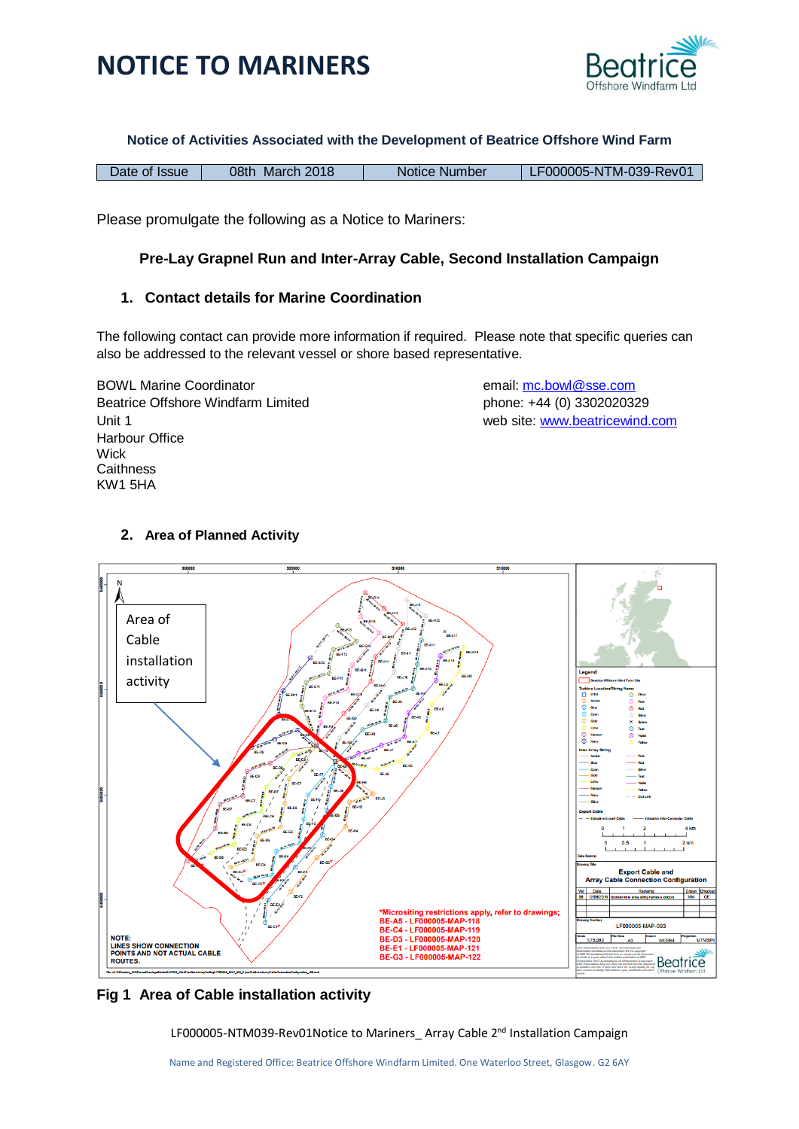



#### **Notice of Activities Associated with the Development of Beatrice Offshore Wind Farm**

| Date of Issue | 08th March 2018 | Notice Number | LF000005-NTM-039-Rev01 |
|---------------|-----------------|---------------|------------------------|
|---------------|-----------------|---------------|------------------------|

Please promulgate the following as a Notice to Mariners:

### **Pre-Lay Grapnel Run and Inter-Array Cable, Second Installation Campaign**

### **1. Contact details for Marine Coordination**

The following contact can provide more information if required. Please note that specific queries can also be addressed to the relevant vessel or shore based representative.

BOWL Marine Coordinator email: [mc.bowl@sse.com](mailto:mc.bowl@sse.com) Beatrice Offshore Windfarm Limited phone: +44 (0) 3302020329 Unit 1 web site: [www.beatricew](http://www.beatrice/)ind.com Harbour Office **Wick Caithness** KW1 5HA

### **2. Area of Planned Activity**



### **Fig 1 Area of Cable installation activity**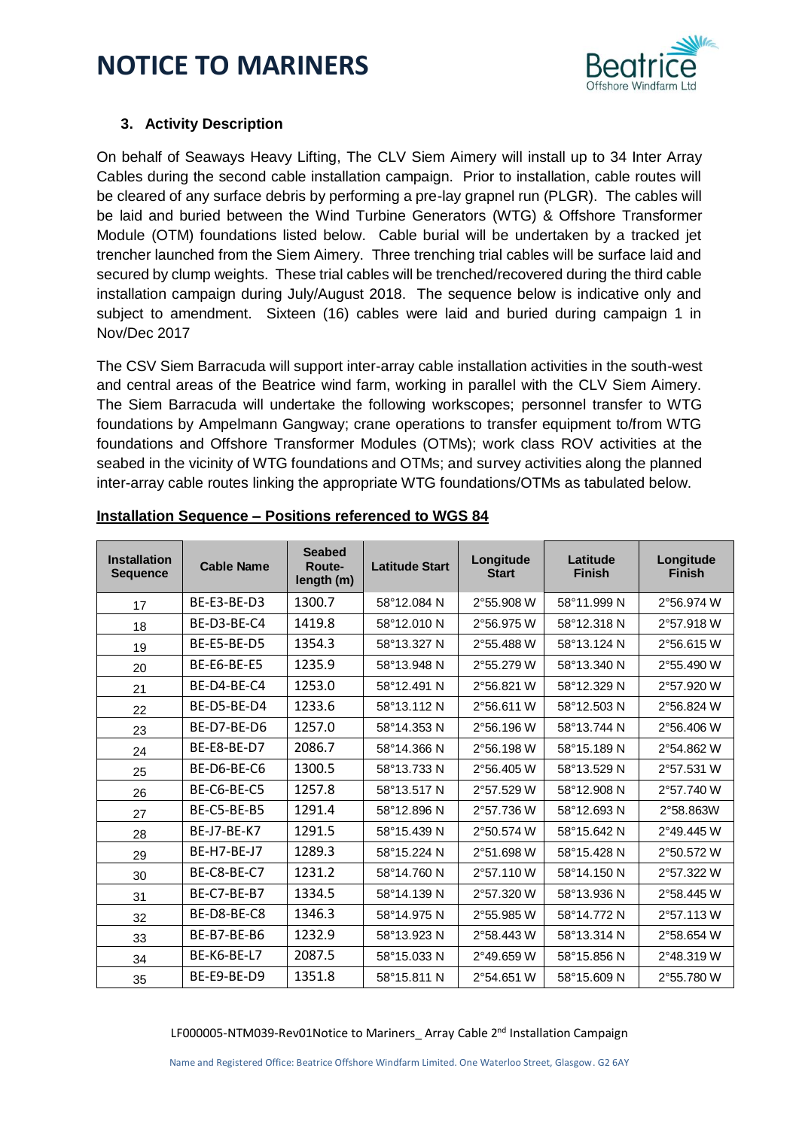

### **3. Activity Description**

On behalf of Seaways Heavy Lifting, The CLV Siem Aimery will install up to 34 Inter Array Cables during the second cable installation campaign. Prior to installation, cable routes will be cleared of any surface debris by performing a pre-lay grapnel run (PLGR). The cables will be laid and buried between the Wind Turbine Generators (WTG) & Offshore Transformer Module (OTM) foundations listed below. Cable burial will be undertaken by a tracked jet trencher launched from the Siem Aimery. Three trenching trial cables will be surface laid and secured by clump weights. These trial cables will be trenched/recovered during the third cable installation campaign during July/August 2018. The sequence below is indicative only and subject to amendment. Sixteen (16) cables were laid and buried during campaign 1 in Nov/Dec 2017

The CSV Siem Barracuda will support inter-array cable installation activities in the south-west and central areas of the Beatrice wind farm, working in parallel with the CLV Siem Aimery. The Siem Barracuda will undertake the following workscopes; personnel transfer to WTG foundations by Ampelmann Gangway; crane operations to transfer equipment to/from WTG foundations and Offshore Transformer Modules (OTMs); work class ROV activities at the seabed in the vicinity of WTG foundations and OTMs; and survey activities along the planned inter-array cable routes linking the appropriate WTG foundations/OTMs as tabulated below.

| <b>Installation</b><br><b>Sequence</b> | <b>Cable Name</b> | <b>Seabed</b><br>Route-<br>length (m) | <b>Latitude Start</b> | Longitude<br><b>Start</b> | Latitude<br><b>Finish</b> | Longitude<br><b>Finish</b> |
|----------------------------------------|-------------------|---------------------------------------|-----------------------|---------------------------|---------------------------|----------------------------|
| 17                                     | BE-E3-BE-D3       | 1300.7                                | 58°12.084 N           | 2°55.908 W                | 58°11.999 N               | 2°56.974 W                 |
| 18                                     | BE-D3-BE-C4       | 1419.8                                | 58°12.010 N           | 2°56.975 W                | 58°12.318 N               | 2°57.918 W                 |
| 19                                     | BE-E5-BE-D5       | 1354.3                                | 58°13.327 N           | 2°55.488 W                | 58°13.124 N               | 2°56.615 W                 |
| 20                                     | BE-E6-BE-E5       | 1235.9                                | 58°13.948 N           | 2°55.279 W                | 58°13.340 N               | 2°55.490 W                 |
| 21                                     | BE-D4-BE-C4       | 1253.0                                | 58°12.491 N           | 2°56.821 W                | 58°12.329 N               | 2°57.920 W                 |
| 22                                     | BE-D5-BE-D4       | 1233.6                                | 58°13.112 N           | 2°56.611 W                | 58°12.503 N               | 2°56.824 W                 |
| 23                                     | BE-D7-BE-D6       | 1257.0                                | 58°14.353 N           | 2°56.196 W                | 58°13.744 N               | 2°56.406 W                 |
| 24                                     | BE-E8-BE-D7       | 2086.7                                | 58°14.366 N           | 2°56.198 W                | 58°15.189 N               | 2°54.862 W                 |
| 25                                     | BE-D6-BE-C6       | 1300.5                                | 58°13.733 N           | 2°56.405 W                | 58°13.529 N               | 2°57.531 W                 |
| 26                                     | BE-C6-BE-C5       | 1257.8                                | 58°13.517 N           | 2°57.529 W                | 58°12.908 N               | 2°57.740 W                 |
| 27                                     | BE-C5-BE-B5       | 1291.4                                | 58°12.896 N           | 2°57.736 W                | 58°12.693 N               | 2°58.863W                  |
| 28                                     | BE-J7-BE-K7       | 1291.5                                | 58°15.439 N           | 2°50.574 W                | 58°15.642 N               | 2°49.445 W                 |
| 29                                     | BE-H7-BE-J7       | 1289.3                                | 58°15.224 N           | 2°51.698 W                | 58°15.428 N               | 2°50.572 W                 |
| 30                                     | BE-C8-BE-C7       | 1231.2                                | 58°14.760 N           | 2°57.110W                 | 58°14.150 N               | 2°57.322 W                 |
| 31                                     | BE-C7-BE-B7       | 1334.5                                | 58°14.139 N           | 2°57.320 W                | 58°13.936 N               | 2°58.445 W                 |
| 32                                     | BE-D8-BE-C8       | 1346.3                                | 58°14.975 N           | 2°55.985 W                | 58°14.772 N               | 2°57.113 W                 |
| 33                                     | BE-B7-BE-B6       | 1232.9                                | 58°13.923 N           | 2°58.443 W                | 58°13.314 N               | 2°58.654 W                 |
| 34                                     | BE-K6-BE-L7       | 2087.5                                | 58°15.033 N           | 2°49.659 W                | 58°15.856 N               | 2°48.319 W                 |
| 35                                     | BE-E9-BE-D9       | 1351.8                                | 58°15.811 N           | 2°54.651 W                | 58°15.609 N               | 2°55.780 W                 |

### **Installation Sequence – Positions referenced to WGS 84**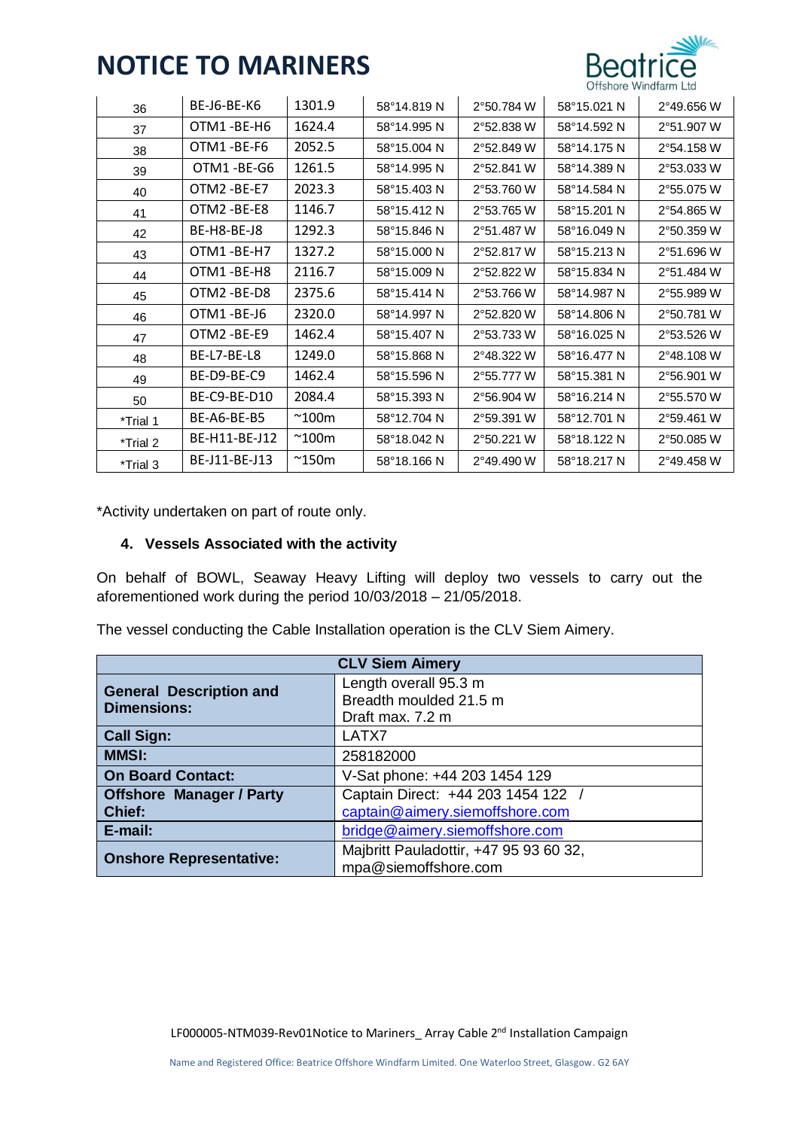

| 36       | BE-J6-BE-K6   | 1301.9         | 58°14.819 N | 2°50.784 W | 58°15.021 N | 2°49.656 W |
|----------|---------------|----------------|-------------|------------|-------------|------------|
| 37       | OTM1-BE-H6    | 1624.4         | 58°14.995N  | 2°52.838 W | 58°14.592 N | 2°51.907 W |
| 38       | OTM1-BE-F6    | 2052.5         | 58°15.004 N | 2°52.849 W | 58°14.175 N | 2°54.158 W |
| 39       | OTM1-BE-G6    | 1261.5         | 58°14.995N  | 2°52.841 W | 58°14.389 N | 2°53.033 W |
| 40       | OTM2-BE-E7    | 2023.3         | 58°15.403 N | 2°53.760 W | 58°14.584 N | 2°55.075 W |
| 41       | OTM2 -BE-E8   | 1146.7         | 58°15.412 N | 2°53.765 W | 58°15.201 N | 2°54.865 W |
| 42       | BE-H8-BE-J8   | 1292.3         | 58°15.846 N | 2°51.487 W | 58°16.049 N | 2°50.359 W |
| 43       | OTM1-BE-H7    | 1327.2         | 58°15.000 N | 2°52.817 W | 58°15.213 N | 2°51.696 W |
| 44       | OTM1-BE-H8    | 2116.7         | 58°15.009 N | 2°52.822 W | 58°15.834 N | 2°51.484 W |
| 45       | OTM2-BE-D8    | 2375.6         | 58°15.414 N | 2°53.766 W | 58°14.987 N | 2°55.989 W |
| 46       | OTM1-BE-J6    | 2320.0         | 58°14.997 N | 2°52.820 W | 58°14.806 N | 2°50.781 W |
| 47       | OTM2-BE-E9    | 1462.4         | 58°15.407 N | 2°53.733 W | 58°16.025 N | 2°53.526 W |
| 48       | BE-L7-BE-L8   | 1249.0         | 58°15.868 N | 2°48.322 W | 58°16.477 N | 2°48.108 W |
| 49       | BE-D9-BE-C9   | 1462.4         | 58°15.596 N | 2°55.777 W | 58°15.381 N | 2°56.901 W |
| 50       | BE-C9-BE-D10  | 2084.4         | 58°15.393 N | 2°56.904 W | 58°16.214 N | 2°55.570 W |
| *Trial 1 | BE-A6-BE-B5   | $^{\sim}$ 100m | 58°12.704 N | 2°59.391 W | 58°12.701 N | 2°59.461 W |
| *Trial 2 | BE-H11-BE-J12 | $^{\sim}$ 100m | 58°18.042 N | 2°50.221 W | 58°18.122 N | 2°50.085 W |
| *Trial 3 | BE-J11-BE-J13 | $^{\sim}$ 150m | 58°18.166 N | 2°49.490 W | 58°18.217 N | 2°49.458 W |

\*Activity undertaken on part of route only.

### **4. Vessels Associated with the activity**

On behalf of BOWL, Seaway Heavy Lifting will deploy two vessels to carry out the aforementioned work during the period 10/03/2018 – 21/05/2018.

The vessel conducting the Cable Installation operation is the CLV Siem Aimery.

| <b>CLV Siem Aimery</b>                               |                                                                     |  |
|------------------------------------------------------|---------------------------------------------------------------------|--|
| <b>General Description and</b><br><b>Dimensions:</b> | Length overall 95.3 m<br>Breadth moulded 21.5 m<br>Draft max. 7.2 m |  |
| <b>Call Sign:</b>                                    | LATX7                                                               |  |
| <b>MMSI:</b>                                         | 258182000                                                           |  |
| <b>On Board Contact:</b>                             | V-Sat phone: +44 203 1454 129                                       |  |
| <b>Offshore Manager / Party</b>                      | Captain Direct: +44 203 1454 122                                    |  |
| Chief:                                               | captain@aimery.siemoffshore.com                                     |  |
| E-mail:                                              | bridge@aimery.siemoffshore.com                                      |  |
| <b>Onshore Representative:</b>                       | Majbritt Pauladottir, +47 95 93 60 32,<br>mpa@siemoffshore.com      |  |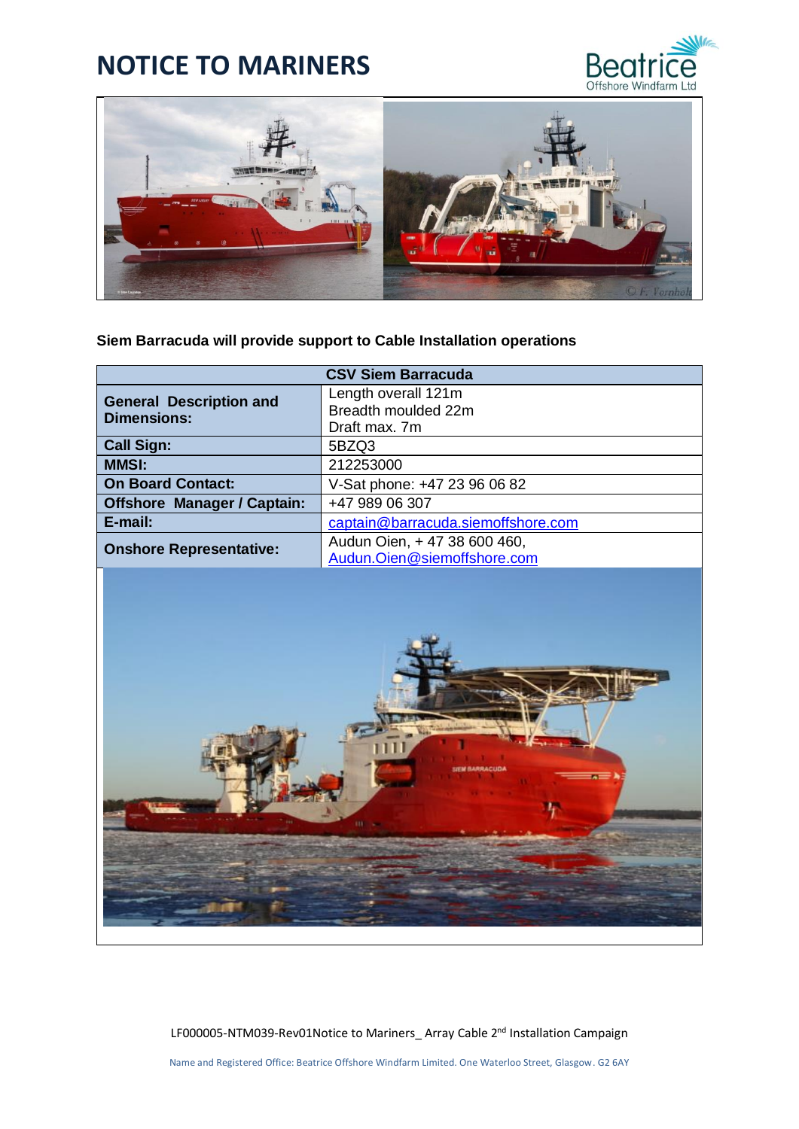



### **Siem Barracuda will provide support to Cable Installation operations**

| <b>CSV Siem Barracuda</b>                            |                                    |  |
|------------------------------------------------------|------------------------------------|--|
| <b>General Description and</b><br><b>Dimensions:</b> | Length overall 121m                |  |
|                                                      | Breadth moulded 22m                |  |
|                                                      | Draft max. 7m                      |  |
| <b>Call Sign:</b>                                    | 5BZQ3                              |  |
| <b>MMSI:</b>                                         | 212253000                          |  |
| <b>On Board Contact:</b>                             | V-Sat phone: +47 23 96 06 82       |  |
| <b>Offshore Manager / Captain:</b>                   | +47 989 06 307                     |  |
| E-mail:                                              | captain@barracuda.siemoffshore.com |  |
| <b>Onshore Representative:</b>                       | Audun Oien, +47 38 600 460,        |  |
|                                                      | Audun. Oien@siemoffshore.com       |  |
|                                                      |                                    |  |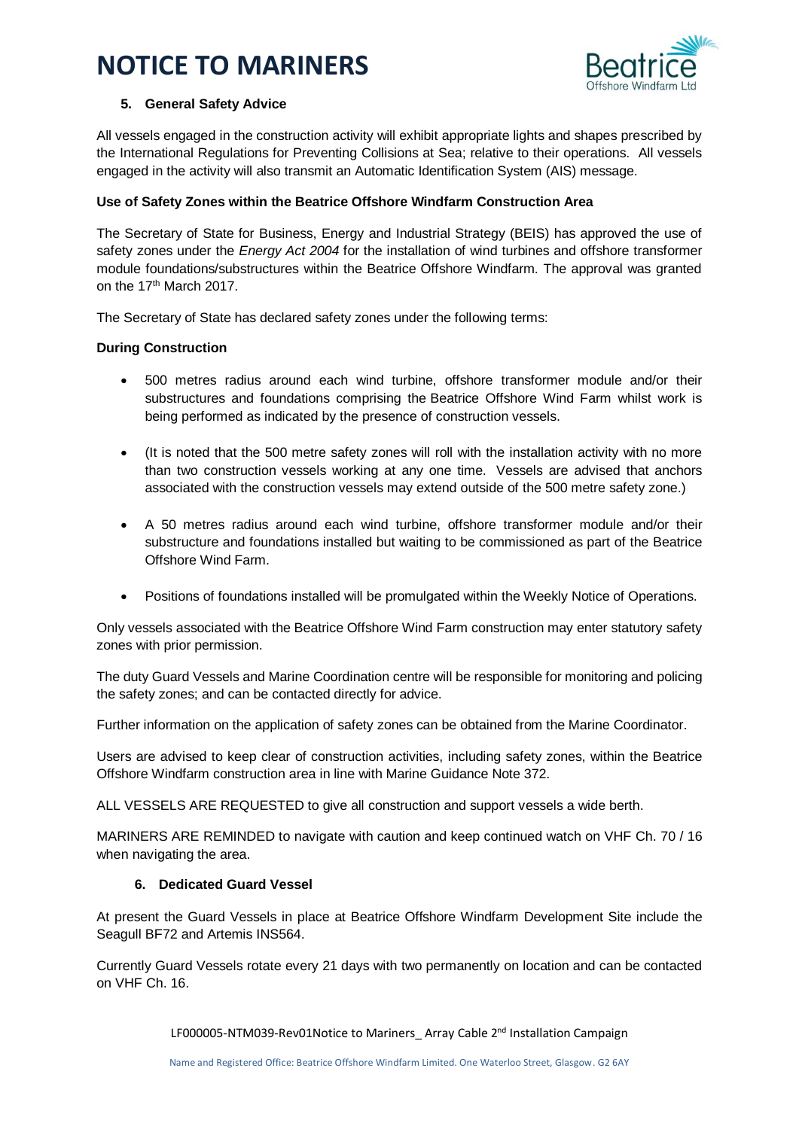

### **5. General Safety Advice**

All vessels engaged in the construction activity will exhibit appropriate lights and shapes prescribed by the International Regulations for Preventing Collisions at Sea; relative to their operations. All vessels engaged in the activity will also transmit an Automatic Identification System (AIS) message.

### **Use of Safety Zones within the Beatrice Offshore Windfarm Construction Area**

The Secretary of State for Business, Energy and Industrial Strategy (BEIS) has approved the use of safety zones under the *Energy Act 2004* for the installation of wind turbines and offshore transformer module foundations/substructures within the Beatrice Offshore Windfarm. The approval was granted on the 17<sup>th</sup> March 2017.

The Secretary of State has declared safety zones under the following terms:

### **During Construction**

- 500 metres radius around each wind turbine, offshore transformer module and/or their substructures and foundations comprising the Beatrice Offshore Wind Farm whilst work is being performed as indicated by the presence of construction vessels.
- (It is noted that the 500 metre safety zones will roll with the installation activity with no more than two construction vessels working at any one time. Vessels are advised that anchors associated with the construction vessels may extend outside of the 500 metre safety zone.)
- A 50 metres radius around each wind turbine, offshore transformer module and/or their substructure and foundations installed but waiting to be commissioned as part of the Beatrice Offshore Wind Farm.
- Positions of foundations installed will be promulgated within the Weekly Notice of Operations.

Only vessels associated with the Beatrice Offshore Wind Farm construction may enter statutory safety zones with prior permission.

The duty Guard Vessels and Marine Coordination centre will be responsible for monitoring and policing the safety zones; and can be contacted directly for advice.

Further information on the application of safety zones can be obtained from the Marine Coordinator.

Users are advised to keep clear of construction activities, including safety zones, within the Beatrice Offshore Windfarm construction area in line with Marine Guidance Note 372.

ALL VESSELS ARE REQUESTED to give all construction and support vessels a wide berth.

MARINERS ARE REMINDED to navigate with caution and keep continued watch on VHF Ch. 70 / 16 when navigating the area.

#### **6. Dedicated Guard Vessel**

At present the Guard Vessels in place at Beatrice Offshore Windfarm Development Site include the Seagull BF72 and Artemis INS564.

Currently Guard Vessels rotate every 21 days with two permanently on location and can be contacted on VHF Ch. 16.